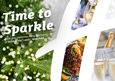# *Time to [Sparkle](https://leeds-wakefield.hichristmas.co.uk) Book your Christmas Party and Events*

*at Holiday Inn® Leeds - Wakefield*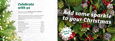Why not join us at the Holiday Inn Leeds - Wakefield to celebrate Christmas 2022 in style?

Whether you're looking to organise a spectacular Christmas party for colleagues, a festive night out for friends or a celebratory feast with loved ones, we've got the perfect package for you.

## *Celebrate with us*



2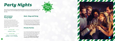#### *All Inclusive Party Night*

Our all-inclusive party nights include everything you need for the perfect festive night out! Enjoy a three-course meal, disco and drinks throughout the evening. The bar will offer you plenty of choice from house wine, house spirits & mixers, draught lager/beer, selected alcopops and soft drinks all included in the price. The all-inclusive bar is available from 8pm - 12am

#### **£49.95 per adult**

#### **Saturday 21st January**

# *[Party Nights](https://leeds-wakefield.hichristmas.co.uk)*

Join us for an amazing Christmas party atmosphere at one of our festive party nights. Our function rooms can accommodate up to 250 guests and feature private dancefloor and bar area.

### *Meet, Stay and Party*

**Fridays: 2nd, 9th & 16th December** Saturdays: 3<sup>rd</sup>, 10<sup>th</sup> & 17<sup>th</sup> December

Work, rest and play! Join us throughout November, December or January with your colleagues for a full-day meeting, your choice of celebration in the evening, overnight accommodation and breakfast the following day. Plan your end-of-year meeting today! Please enquire for availability and pricing. *Click to book*

### *Private Parties*

From intimate family gatherings to large corporate parties, we have functions rooms available to hire based on your requirements. Please contact us so we can help you plan your perfect celebration. Minimum numbers apply. Prices available upon request. Pre-booking only and subject to availability. Dates sell fast so enquire today!

**£54.95 per adult**

4

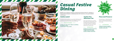# *[Casual Festive](https://leeds-wakefield.hichristmas.co.uk) Dining*

Whether you're looking to organise a spectacular Christmas dinner for colleagues, a festive lunch for friends or a celebratory feast with loved ones, we've got the perfect event for you.

#### *Festive Lunch*

Our festive lunches are perfect for any occasion, whether you want to spend time with family, friends or work colleagues. Includes a glass of fizz upon arrival and a three-course festive meal.

**Available seven days a week. (subject to availability). Pre-booking essential. Call 03333 209 337 opt 4 to book.**

#### *Pizza and Prosecco*

Pizza and Prosecco = Perfect! Book today so you can enjoy a pizza and a glass of Prosecco each in the relaxed atmosphere of our lounge.

#### **£14.95 per person**

#### *Festive Fizz Afternoon Tea*

Enjoy a festive afternoon tea, including tea & coffee and a refreshing glass of fizz! The perfect treat for anyone to enjoy. It also includes a selection of sandwiches, scones with cream & jam and a mouthwatering slice of seasonal cake.

#### **£18.00 per person**



**From £17.95 per person**

**Available every Tuesday and Thursday throughout December at 12pm, 12:30pm and 1pm. Pre-booking essential, available to book online.** 



**Fridays and Sundays throughout December at 5pm, 6pm and 6:30pm. Available to book online.**

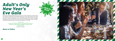# *[Adult's Only](https://leeds-wakefield.hichristmas.co.uk) New Year's Eve Gala*

We have an amazing night planned so you can see in 2023 in style! Let us welcome you with a festive cocktail upon arrival before making your way to the function room, where you will be served an amazing four-course meal with tea and coffee to finish. The night truly begins with a disco until 2am so you can dance the night away. Enjoy a midnight munchie and a glass of Prosecco once the clock strikes 12. 18+ only.

**£69.95 per adult**

### *Menu to follow*

*Click to book*

**Our New Years eve party night will be in The Walton Suite and will start with drinks at 7:30pm, dinner served 8:00pm, last orders at 1:30am. Carriages at 2:00am.**

**Saturday 31st December**



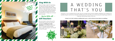### *Stay With Us*

Why not make a night of it and enjoy our special Christmas rates? Room types include standard double, family and twin. Take advantage of up to 20% off our best flexible, bed and breakfast rate. No deposit required and can be cancelled free of charge up to 48 hours prior to arrival.

### *Gift Vouchers*  $-$  Up to 20% off  $-$

We are excited to share with you the amazing gift vouchers we now have available at Holiday Inn Leeds - Wakefield. From delightful afternoon teas to overnight break packages, there's a gift for everyone. Give the gift of travel this year!



Christmas is such a wonderful time of year, why not consider having a festive wedding celebration? Our weddings are [available all year round and our fantastic wedding team will work with you to ensure you get everything you desire to](http://www.hileedswakefieldhotel.co.uk/weddings)  make your special day a dream come true.



#### Contact us to start creating a wedding that's you, or click to find out more about our weddings



# A WEDDING THAT'S YOU